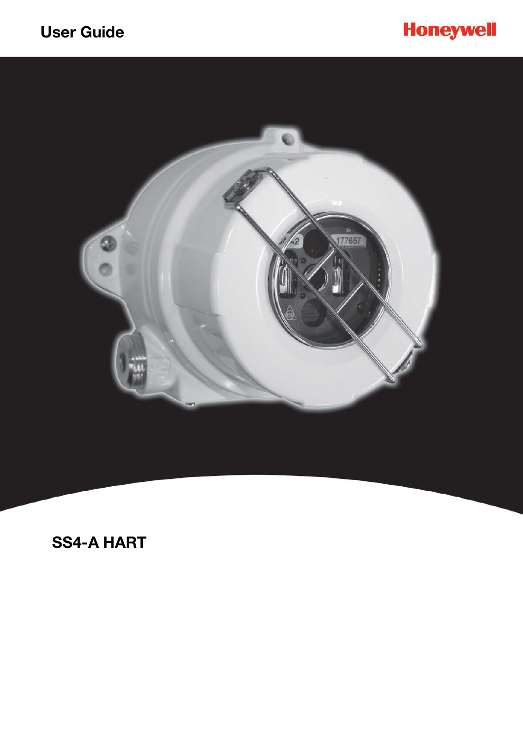



# **SS4-A HART**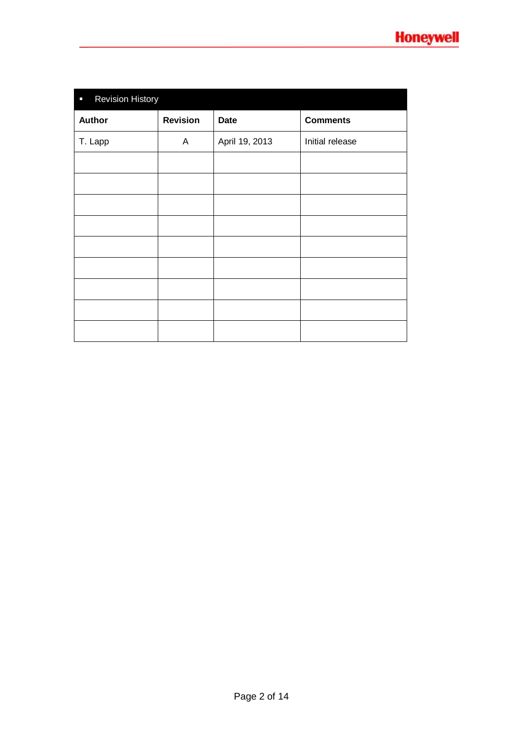| <b>Revision History</b><br>$\overline{\phantom{a}}$ |                 |                |                 |  |
|-----------------------------------------------------|-----------------|----------------|-----------------|--|
| <b>Author</b>                                       | <b>Revision</b> | <b>Date</b>    | <b>Comments</b> |  |
| T. Lapp                                             | A               | April 19, 2013 | Initial release |  |
|                                                     |                 |                |                 |  |
|                                                     |                 |                |                 |  |
|                                                     |                 |                |                 |  |
|                                                     |                 |                |                 |  |
|                                                     |                 |                |                 |  |
|                                                     |                 |                |                 |  |
|                                                     |                 |                |                 |  |
|                                                     |                 |                |                 |  |
|                                                     |                 |                |                 |  |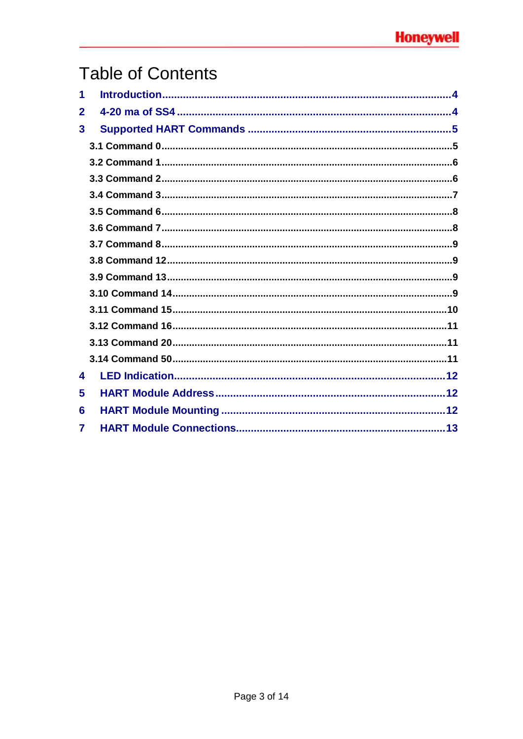# **Table of Contents**

| 1            |  |
|--------------|--|
| $\mathbf 2$  |  |
| $\mathbf{3}$ |  |
|              |  |
|              |  |
|              |  |
|              |  |
|              |  |
|              |  |
|              |  |
|              |  |
|              |  |
|              |  |
|              |  |
|              |  |
|              |  |
|              |  |
| 4            |  |
| 5            |  |
| 6            |  |
| 7            |  |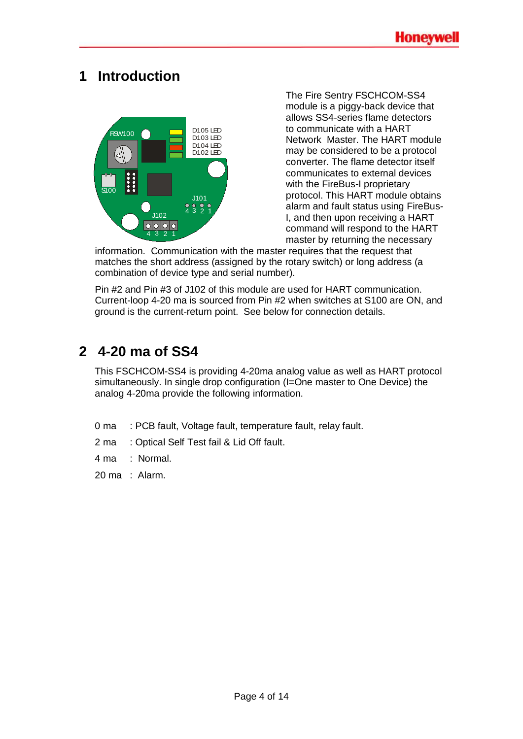## <span id="page-3-0"></span>**1 Introduction**



The Fire Sentry FSCHCOM-SS4 module is a piggy-back device that allows SS4-series flame detectors to communicate with a HART Network Master. The HART module may be considered to be a protocol converter. The flame detector itself communicates to external devices with the FireBus-I proprietary protocol. This HART module obtains alarm and fault status using FireBus-I, and then upon receiving a HART command will respond to the HART master by returning the necessary

information. Communication with the master requires that the request that matches the short address (assigned by the rotary switch) or long address (a combination of device type and serial number).

Pin #2 and Pin #3 of J102 of this module are used for HART communication. Current-loop 4-20 ma is sourced from Pin #2 when switches at S100 are ON, and ground is the current-return point. See below for connection details.

## <span id="page-3-1"></span>**2 4-20 ma of SS4**

This FSCHCOM-SS4 is providing 4-20ma analog value as well as HART protocol simultaneously. In single drop configuration (I=One master to One Device) the analog 4-20ma provide the following information.

- 0 ma : PCB fault, Voltage fault, temperature fault, relay fault.
- 2 ma : Optical Self Test fail & Lid Off fault.
- 4 ma : Normal.
- 20 ma : Alarm.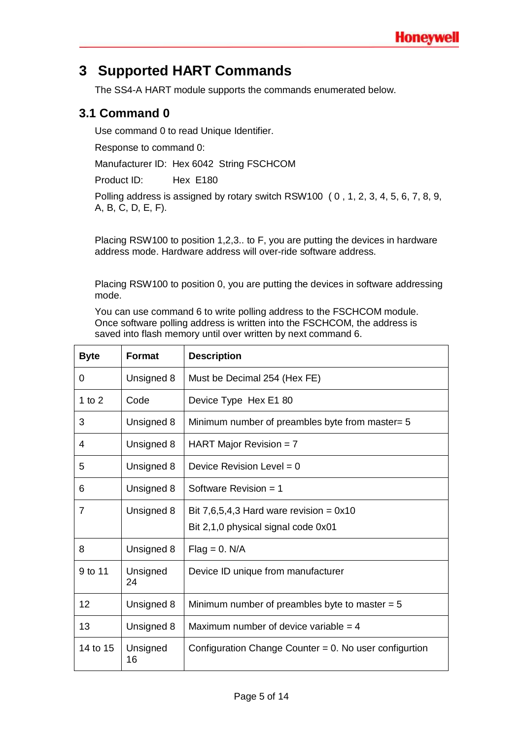## <span id="page-4-0"></span>**3 Supported HART Commands**

The SS4-A HART module supports the commands enumerated below.

#### <span id="page-4-1"></span>**3.1 Command 0**

Use command 0 to read Unique Identifier.

Response to command 0:

Manufacturer ID: Hex 6042 String FSCHCOM

Product ID: Hex E180

Polling address is assigned by rotary switch RSW100 ( 0 , 1, 2, 3, 4, 5, 6, 7, 8, 9, A, B, C, D, E, F).

Placing RSW100 to position 1,2,3.. to F, you are putting the devices in hardware address mode. Hardware address will over-ride software address.

Placing RSW100 to position 0, you are putting the devices in software addressing mode.

You can use command 6 to write polling address to the FSCHCOM module. Once software polling address is written into the FSCHCOM, the address is saved into flash memory until over written by next command 6.

| <b>Byte</b> | Format         | <b>Description</b>                                        |
|-------------|----------------|-----------------------------------------------------------|
| 0           | Unsigned 8     | Must be Decimal 254 (Hex FE)                              |
| 1 to $2$    | Code           | Device Type Hex E1 80                                     |
| 3           | Unsigned 8     | Minimum number of preambles byte from master= 5           |
| 4           | Unsigned 8     | HART Major Revision = $7$                                 |
| 5           | Unsigned 8     | Device Revision Level = $0$                               |
| 6           | Unsigned 8     | Software Revision = $1$                                   |
| 7           | Unsigned 8     | Bit 7,6,5,4,3 Hard ware revision = $0x10$                 |
|             |                | Bit 2,1,0 physical signal code 0x01                       |
| 8           | Unsigned 8     | $Flag = 0. N/A$                                           |
| 9 to 11     | Unsigned<br>24 | Device ID unique from manufacturer                        |
| 12          | Unsigned 8     | Minimum number of preambles byte to master $= 5$          |
| 13          | Unsigned 8     | Maximum number of device variable $=$ 4                   |
| 14 to 15    | Unsigned<br>16 | Configuration Change Counter $= 0$ . No user configurtion |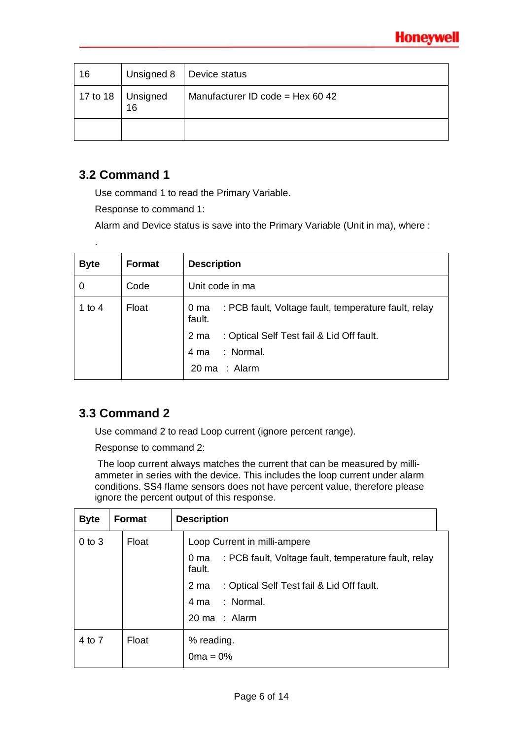| 16 | Unsigned 8                  | Device status                    |
|----|-----------------------------|----------------------------------|
|    | 17 to 18 $ $ Unsigned<br>16 | Manufacturer ID code = Hex 60 42 |
|    |                             |                                  |

#### <span id="page-5-0"></span>**3.2 Command 1**

.

Use command 1 to read the Primary Variable.

Response to command 1:

Alarm and Device status is save into the Primary Variable (Unit in ma), where :

| <b>Byte</b> | <b>Format</b> | <b>Description</b>                                                     |
|-------------|---------------|------------------------------------------------------------------------|
|             | Code          | Unit code in ma                                                        |
| 1 to 4      | Float         | : PCB fault, Voltage fault, temperature fault, relay<br>0 ma<br>fault. |
|             |               | : Optical Self Test fail & Lid Off fault.<br>2 ma                      |
|             |               | : Normal.<br>4 ma                                                      |
|             |               | 20 ma : Alarm                                                          |

### <span id="page-5-1"></span>**3.3 Command 2**

Use command 2 to read Loop current (ignore percent range).

Response to command 2:

The loop current always matches the current that can be measured by milliammeter in series with the device. This includes the loop current under alarm conditions. SS4 flame sensors does not have percent value, therefore please ignore the percent output of this response.

| <b>Byte</b> | <b>Format</b> | <b>Description</b>                                                     |
|-------------|---------------|------------------------------------------------------------------------|
| $0$ to $3$  | Float         | Loop Current in milli-ampere                                           |
|             |               | : PCB fault, Voltage fault, temperature fault, relay<br>0 ma<br>fault. |
|             |               | : Optical Self Test fail & Lid Off fault.<br>2 ma                      |
|             |               | : Normal.<br>4 ma                                                      |
|             |               | 20 ma : Alarm                                                          |
| 4 to 7      | Float         | % reading.                                                             |
|             |               | $0ma = 0%$                                                             |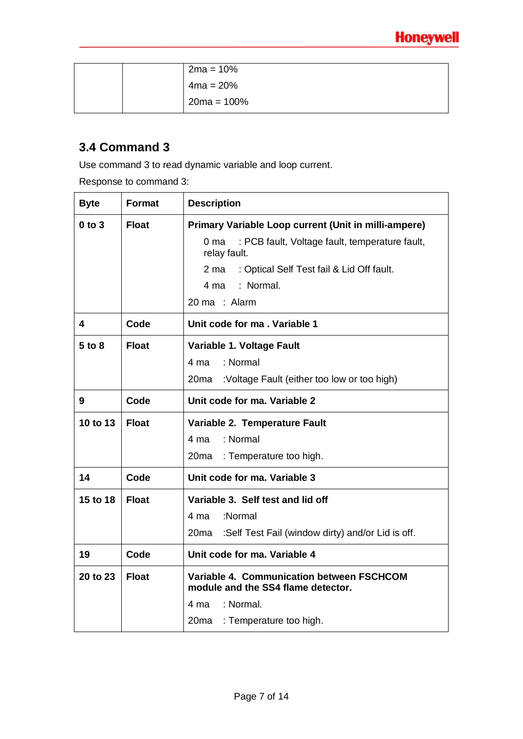|  | $2ma = 10%$    |
|--|----------------|
|  | $4ma = 20%$    |
|  | $20ma = 100\%$ |

### <span id="page-6-0"></span>**3.4 Command 3**

Use command 3 to read dynamic variable and loop current.

Response to command 3:

| <b>Byte</b> | Format       | <b>Description</b>                                                                |  |
|-------------|--------------|-----------------------------------------------------------------------------------|--|
| $0$ to $3$  | <b>Float</b> | Primary Variable Loop current (Unit in milli-ampere)                              |  |
|             |              | : PCB fault, Voltage fault, temperature fault,<br>0 <sub>ma</sub><br>relay fault. |  |
|             |              | : Optical Self Test fail & Lid Off fault.<br>2 ma                                 |  |
|             |              | : Normal.<br>4 ma                                                                 |  |
|             |              | 20 ma : Alarm                                                                     |  |
| 4           | Code         | Unit code for ma . Variable 1                                                     |  |
| $5$ to $8$  | <b>Float</b> | Variable 1. Voltage Fault                                                         |  |
|             |              | : Normal<br>4 ma                                                                  |  |
|             |              | 20 <sub>ma</sub><br>:Voltage Fault (either too low or too high)                   |  |
| 9           | Code         | Unit code for ma. Variable 2                                                      |  |
| 10 to 13    | <b>Float</b> | Variable 2. Temperature Fault                                                     |  |
|             |              | : Normal<br>4 ma                                                                  |  |
|             |              | : Temperature too high.<br>20ma                                                   |  |
| 14          | Code         | Unit code for ma. Variable 3                                                      |  |
| 15 to 18    | <b>Float</b> | Variable 3. Self test and lid off                                                 |  |
|             |              | :Normal<br>4 ma                                                                   |  |
|             |              | :Self Test Fail (window dirty) and/or Lid is off.<br>20 <sub>ma</sub>             |  |
| 19          | Code         | Unit code for ma. Variable 4                                                      |  |
| 20 to 23    | <b>Float</b> | Variable 4. Communication between FSCHCOM<br>module and the SS4 flame detector.   |  |
|             |              | : Normal.<br>4 ma                                                                 |  |
|             |              | 20ma : Temperature too high.                                                      |  |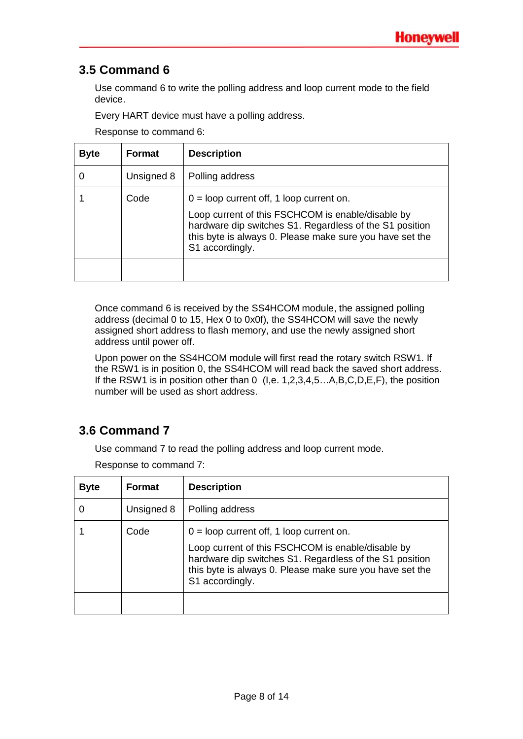### <span id="page-7-0"></span>**3.5 Command 6**

Use command 6 to write the polling address and loop current mode to the field device.

Every HART device must have a polling address.

Response to command 6:

| <b>Byte</b> | <b>Format</b> | <b>Description</b>                                                                                                                                                                                                                        |
|-------------|---------------|-------------------------------------------------------------------------------------------------------------------------------------------------------------------------------------------------------------------------------------------|
|             | Unsigned 8    | Polling address                                                                                                                                                                                                                           |
|             | Code          | $0 =$ loop current off, 1 loop current on.<br>Loop current of this FSCHCOM is enable/disable by<br>hardware dip switches S1. Regardless of the S1 position<br>this byte is always 0. Please make sure you have set the<br>S1 accordingly. |
|             |               |                                                                                                                                                                                                                                           |

Once command 6 is received by the SS4HCOM module, the assigned polling address (decimal 0 to 15, Hex 0 to 0x0f), the SS4HCOM will save the newly assigned short address to flash memory, and use the newly assigned short address until power off.

Upon power on the SS4HCOM module will first read the rotary switch RSW1. If the RSW1 is in position 0, the SS4HCOM will read back the saved short address. If the RSW1 is in position other than 0 (I,e. 1,2,3,4,5...A,B,C,D,E,F), the position number will be used as short address.

### <span id="page-7-1"></span>**3.6 Command 7**

Use command 7 to read the polling address and loop current mode.

Response to command 7:

| <b>Byte</b> | <b>Format</b> | <b>Description</b>                                                                                                                                                                                                                        |
|-------------|---------------|-------------------------------------------------------------------------------------------------------------------------------------------------------------------------------------------------------------------------------------------|
|             | Unsigned 8    | Polling address                                                                                                                                                                                                                           |
|             | Code          | $0 =$ loop current off, 1 loop current on.<br>Loop current of this FSCHCOM is enable/disable by<br>hardware dip switches S1. Regardless of the S1 position<br>this byte is always 0. Please make sure you have set the<br>S1 accordingly. |
|             |               |                                                                                                                                                                                                                                           |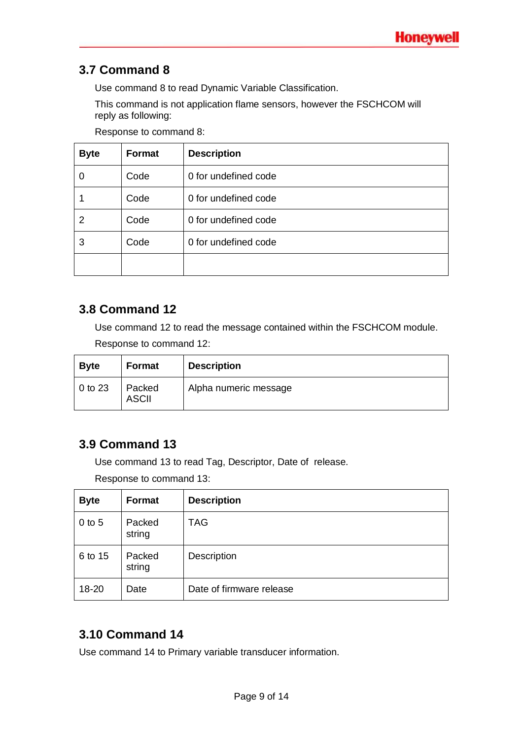### <span id="page-8-0"></span>**3.7 Command 8**

Use command 8 to read Dynamic Variable Classification.

This command is not application flame sensors, however the FSCHCOM will reply as following:

Response to command 8:

| <b>Byte</b> | Format | <b>Description</b>   |
|-------------|--------|----------------------|
|             | Code   | 0 for undefined code |
|             | Code   | 0 for undefined code |
| 2           | Code   | 0 for undefined code |
| 3           | Code   | 0 for undefined code |
|             |        |                      |

#### <span id="page-8-1"></span>**3.8 Command 12**

Use command 12 to read the message contained within the FSCHCOM module.

Response to command 12:

| <b>Byte</b>     | Format                 | <b>Description</b>    |
|-----------------|------------------------|-----------------------|
| $\vert$ 0 to 23 | Packed<br><b>ASCII</b> | Alpha numeric message |

#### <span id="page-8-2"></span>**3.9 Command 13**

Use command 13 to read Tag, Descriptor, Date of release.

Response to command 13:

| <b>Byte</b> | Format           | <b>Description</b>       |
|-------------|------------------|--------------------------|
| $0$ to $5$  | Packed<br>string | <b>TAG</b>               |
| 6 to 15     | Packed<br>string | Description              |
| 18-20       | Date             | Date of firmware release |

### <span id="page-8-3"></span>**3.10 Command 14**

Use command 14 to Primary variable transducer information.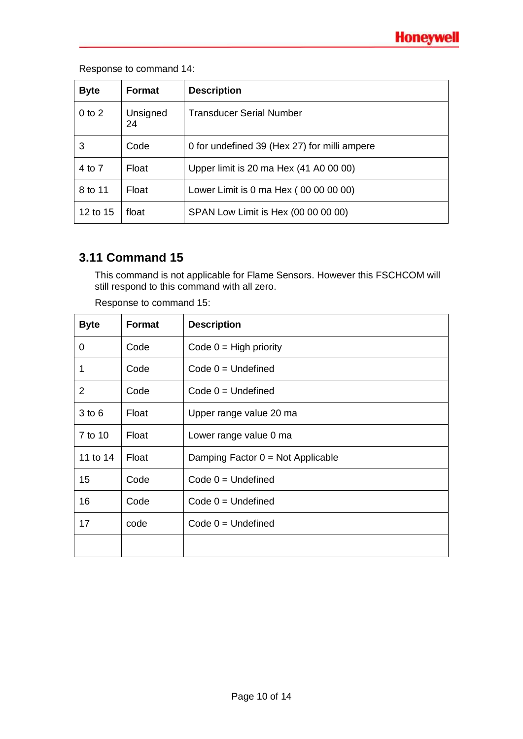#### Response to command 14:

| <b>Byte</b> | <b>Format</b>  | <b>Description</b>                           |
|-------------|----------------|----------------------------------------------|
| $0$ to $2$  | Unsigned<br>24 | Transducer Serial Number                     |
| 3           | Code           | 0 for undefined 39 (Hex 27) for milli ampere |
| 4 to 7      | Float          | Upper limit is 20 ma Hex (41 A0 00 00)       |
| 8 to 11     | Float          | Lower Limit is 0 ma Hex (00 00 00 00)        |
| 12 to 15    | float          | SPAN Low Limit is Hex (00 00 00 00)          |

#### <span id="page-9-0"></span>**3.11 Command 15**

This command is not applicable for Flame Sensors. However this FSCHCOM will still respond to this command with all zero.

| <b>Byte</b> | <b>Format</b> | <b>Description</b>                  |
|-------------|---------------|-------------------------------------|
| 0           | Code          | Code $0 = High priority$            |
| 1           | Code          | $Code 0 = Undefined$                |
| 2           | Code          | Code $0 =$ Undefined                |
| $3$ to $6$  | Float         | Upper range value 20 ma             |
| 7 to 10     | Float         | Lower range value 0 ma              |
| 11 to 14    | Float         | Damping Factor $0 = Not$ Applicable |
| 15          | Code          | $Code 0 = Undefined$                |
| 16          | Code          | $Code 0 = Undefined$                |
| 17          | code          | Code $0 =$ Undefined                |
|             |               |                                     |

Response to command 15: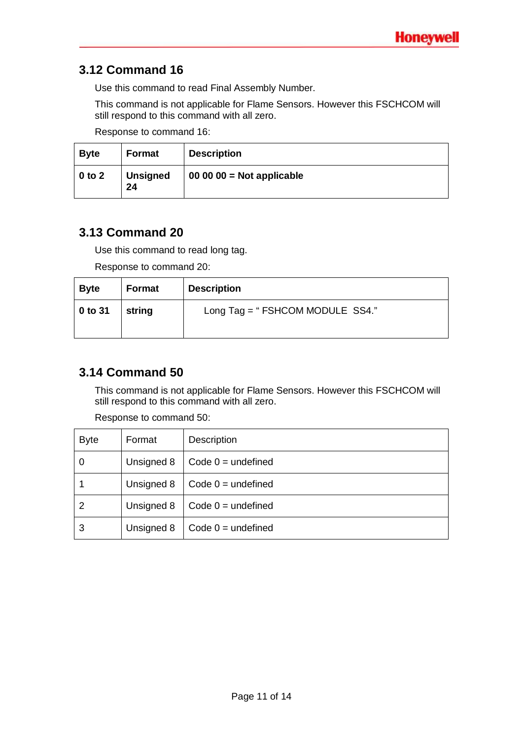#### <span id="page-10-0"></span>**3.12 Command 16**

Use this command to read Final Assembly Number.

This command is not applicable for Flame Sensors. However this FSCHCOM will still respond to this command with all zero.

Response to command 16:

| <b>Byte</b> | <b>Format</b>         | <b>Description</b>        |
|-------------|-----------------------|---------------------------|
| $0$ to $2$  | <b>Unsigned</b><br>24 | $000000 = Not applicable$ |

#### <span id="page-10-1"></span>**3.13 Command 20**

Use this command to read long tag.

Response to command 20:

| <b>Byte</b> | Format | <b>Description</b>              |
|-------------|--------|---------------------------------|
| $0$ to 31   | string | Long Tag = "FSHCOM MODULE SS4." |

### <span id="page-10-2"></span>**3.14 Command 50**

This command is not applicable for Flame Sensors. However this FSCHCOM will still respond to this command with all zero.

| <b>Byte</b> | Format     | <b>Description</b>   |
|-------------|------------|----------------------|
|             | Unsigned 8 | Code $0 =$ undefined |
|             | Unsigned 8 | Code $0 =$ undefined |
| 2           | Unsigned 8 | Code $0 =$ undefined |
| 3           | Unsigned 8 | Code $0 =$ undefined |

Response to command 50: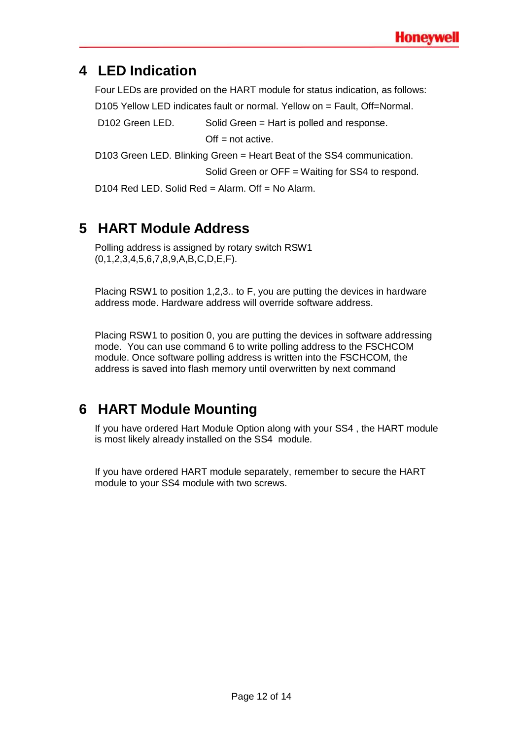## <span id="page-11-0"></span>**4 LED Indication**

Four LEDs are provided on the HART module for status indication, as follows:

D105 Yellow LED indicates fault or normal. Yellow on = Fault, Off=Normal.

D102 Green LED. Solid Green = Hart is polled and response.

 $Off = not active$ .

D103 Green LED. Blinking Green = Heart Beat of the SS4 communication.

Solid Green or OFF = Waiting for SS4 to respond.

D104 Red LED. Solid Red = Alarm. Off = No Alarm.

## <span id="page-11-1"></span>**5 HART Module Address**

Polling address is assigned by rotary switch RSW1 (0,1,2,3,4,5,6,7,8,9,A,B,C,D,E,F).

Placing RSW1 to position 1,2,3.. to F, you are putting the devices in hardware address mode. Hardware address will override software address.

Placing RSW1 to position 0, you are putting the devices in software addressing mode. You can use command 6 to write polling address to the FSCHCOM module. Once software polling address is written into the FSCHCOM, the address is saved into flash memory until overwritten by next command

## <span id="page-11-2"></span>**6 HART Module Mounting**

If you have ordered Hart Module Option along with your SS4 , the HART module is most likely already installed on the SS4 module.

If you have ordered HART module separately, remember to secure the HART module to your SS4 module with two screws.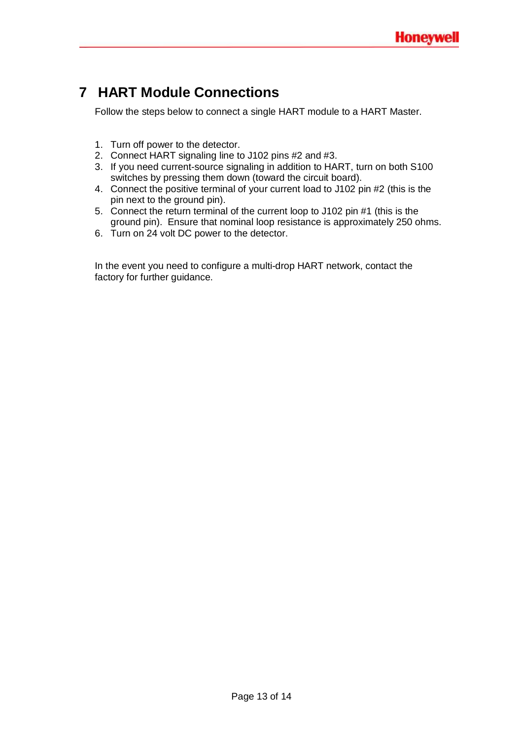## <span id="page-12-0"></span>**7 HART Module Connections**

Follow the steps below to connect a single HART module to a HART Master.

- 1. Turn off power to the detector.
- 2. Connect HART signaling line to J102 pins #2 and #3.
- 3. If you need current-source signaling in addition to HART, turn on both S100 switches by pressing them down (toward the circuit board).
- 4. Connect the positive terminal of your current load to J102 pin #2 (this is the pin next to the ground pin).
- 5. Connect the return terminal of the current loop to J102 pin #1 (this is the ground pin). Ensure that nominal loop resistance is approximately 250 ohms.
- 6. Turn on 24 volt DC power to the detector.

In the event you need to configure a multi-drop HART network, contact the factory for further guidance.